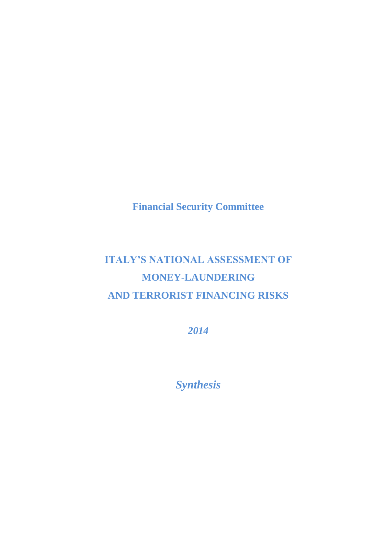**Financial Security Committee**

# **ITALY'S NATIONAL ASSESSMENT OF MONEY-LAUNDERING AND TERRORIST FINANCING RISKS**

*2014*

*Synthesis*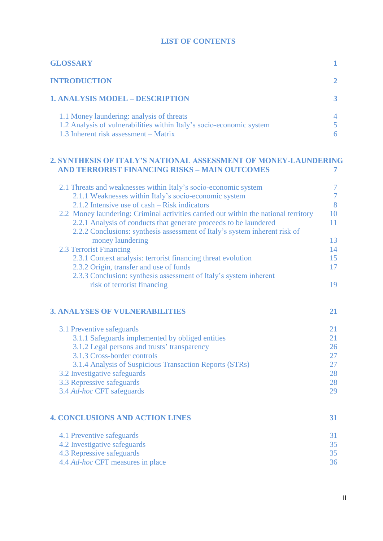#### **LIST OF CONTENTS**

| <b>GLOSSARY</b>                                                                                                                                            |   |
|------------------------------------------------------------------------------------------------------------------------------------------------------------|---|
| <b>INTRODUCTION</b>                                                                                                                                        |   |
| <b>1. ANALYSIS MODEL - DESCRIPTION</b>                                                                                                                     |   |
| 1.1 Money laundering: analysis of threats<br>1.2 Analysis of vulnerabilities within Italy's socio-economic system<br>1.3 Inherent risk assessment – Matrix | 4 |

## **2. SYNTHESIS OF ITALY'S NATIONAL ASSESSMENT OF MONEY-LAUNDERING AND TERRORIST FINANCING RISKS – MAIN OUTCOMES 7**

| 2.1 Threats and weaknesses within Italy's socio-economic system<br>2.1.1 Weaknesses within Italy's socio-economic system                        | $\tau$<br>$\overline{7}$ |
|-------------------------------------------------------------------------------------------------------------------------------------------------|--------------------------|
| 2.1.2 Intensive use of cash – Risk indicators                                                                                                   | 8                        |
| 2.2 Money laundering: Criminal activities carried out within the national territory                                                             | 10                       |
| 2.2.1 Analysis of conducts that generate proceeds to be laundered<br>2.2.2 Conclusions: synthesis assessment of Italy's system inherent risk of | 11                       |
| money laundering                                                                                                                                | 13                       |
| 2.3 Terrorist Financing                                                                                                                         | 14                       |
| 2.3.1 Context analysis: terrorist financing threat evolution                                                                                    | 15                       |
| 2.3.2 Origin, transfer and use of funds                                                                                                         | 17                       |
| 2.3.3 Conclusion: synthesis assessment of Italy's system inherent                                                                               |                          |
| risk of terrorist financing                                                                                                                     | 19                       |
| <b>3. ANALYSES OF VULNERABILITIES</b>                                                                                                           | 21                       |
| 3.1 Preventive safeguards                                                                                                                       | 21                       |
| 3.1.1 Safeguards implemented by obliged entities                                                                                                | 21                       |
| 3.1.2 Legal persons and trusts' transparency                                                                                                    | 26                       |
| 3.1.3 Cross-border controls                                                                                                                     | 27                       |
| 3.1.4 Analysis of Suspicious Transaction Reports (STRs)                                                                                         | 27                       |
| 3.2 Investigative safeguards                                                                                                                    | 28                       |
| 3.3 Repressive safeguards                                                                                                                       | 28                       |
| 3.4 Ad-hoc CFT safeguards                                                                                                                       | 29                       |
|                                                                                                                                                 |                          |
| <b>4. CONCLUSIONS AND ACTION LINES</b>                                                                                                          | 31                       |
| 4.1 Preventive safeguards                                                                                                                       | 31                       |
| 4.2 Investigative safeguards                                                                                                                    | 35                       |
| 4.3 Repressive safeguards                                                                                                                       | 35                       |
| 4.4 <i>Ad-hoc</i> CFT measures in place                                                                                                         | 36                       |

II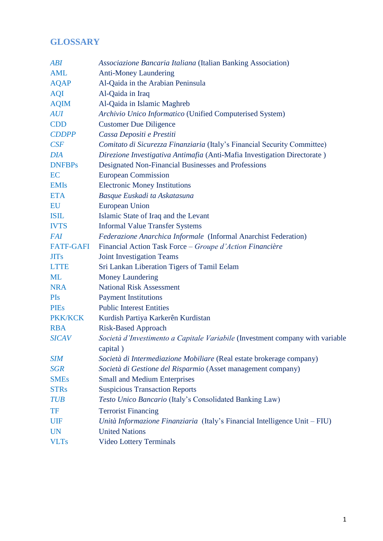## **GLOSSARY**

| <b>ABI</b>       | Associazione Bancaria Italiana (Italian Banking Association)                  |
|------------------|-------------------------------------------------------------------------------|
| <b>AML</b>       | <b>Anti-Money Laundering</b>                                                  |
| <b>AQAP</b>      | Al-Qaida in the Arabian Peninsula                                             |
| <b>AQI</b>       | Al-Qaida in Iraq                                                              |
| <b>AQIM</b>      | Al-Qaida in Islamic Maghreb                                                   |
| <b>AUI</b>       | Archivio Unico Informatico (Unified Computerised System)                      |
| <b>CDD</b>       | <b>Customer Due Diligence</b>                                                 |
| <b>CDDPP</b>     | Cassa Depositi e Prestiti                                                     |
| CSF              | Comitato di Sicurezza Finanziaria (Italy's Financial Security Committee)      |
| <b>DIA</b>       | Direzione Investigativa Antimafia (Anti-Mafia Investigation Directorate)      |
| <b>DNFBPs</b>    | Designated Non-Financial Businesses and Professions                           |
| EC               | <b>European Commission</b>                                                    |
| <b>EMIs</b>      | <b>Electronic Money Institutions</b>                                          |
| <b>ETA</b>       | Basque Euskadi ta Askatasuna                                                  |
| EU               | <b>European Union</b>                                                         |
| <b>ISIL</b>      | Islamic State of Iraq and the Levant                                          |
| <b>IVTS</b>      | <b>Informal Value Transfer Systems</b>                                        |
| <b>FAI</b>       | Federazione Anarchica Informale (Informal Anarchist Federation)               |
| <b>FATF-GAFI</b> | Financial Action Task Force - Groupe d'Action Financière                      |
| <b>JITs</b>      | <b>Joint Investigation Teams</b>                                              |
| <b>LTTE</b>      | Sri Lankan Liberation Tigers of Tamil Eelam                                   |
| <b>ML</b>        | <b>Money Laundering</b>                                                       |
| <b>NRA</b>       | <b>National Risk Assessment</b>                                               |
| PIs              | <b>Payment Institutions</b>                                                   |
| <b>PIEs</b>      | <b>Public Interest Entities</b>                                               |
| <b>PKK/KCK</b>   | Kurdish Partiya Karkerên Kurdistan                                            |
| <b>RBA</b>       | <b>Risk-Based Approach</b>                                                    |
| <b>SICAV</b>     | Società d'Investimento a Capitale Variabile (Investment company with variable |
|                  | capital)                                                                      |
| <b>SIM</b>       | Società di Intermediazione Mobiliare (Real estate brokerage company)          |
| <b>SGR</b>       | Società di Gestione del Risparmio (Asset management company)                  |
| <b>SMEs</b>      | <b>Small and Medium Enterprises</b>                                           |
| <b>STRs</b>      | <b>Suspicious Transaction Reports</b>                                         |
| <b>TUB</b>       | Testo Unico Bancario (Italy's Consolidated Banking Law)                       |
| <b>TF</b>        | <b>Terrorist Financing</b>                                                    |
| UIF              | Unità Informazione Finanziaria (Italy's Financial Intelligence Unit – FIU)    |
| <b>UN</b>        | <b>United Nations</b>                                                         |
| <b>VLTs</b>      | <b>Video Lottery Terminals</b>                                                |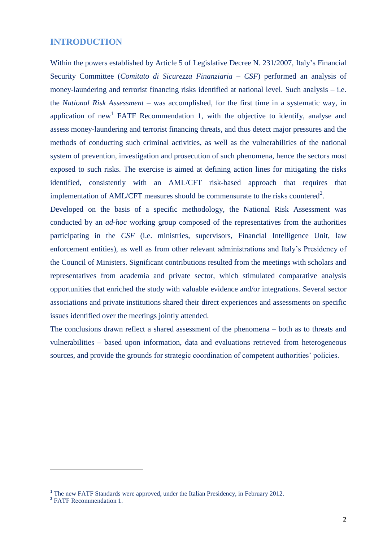#### **INTRODUCTION**

Within the powers established by Article 5 of Legislative Decree N. 231/2007, Italy's Financial Security Committee (*Comitato di Sicurezza Finanziaria* – *CSF*) performed an analysis of money-laundering and terrorist financing risks identified at national level. Such analysis – i.e. the *National Risk Assessment* – was accomplished, for the first time in a systematic way, in application of new<sup>1</sup> FATF Recommendation 1, with the objective to identify, analyse and assess money-laundering and terrorist financing threats, and thus detect major pressures and the methods of conducting such criminal activities, as well as the vulnerabilities of the national system of prevention, investigation and prosecution of such phenomena, hence the sectors most exposed to such risks. The exercise is aimed at defining action lines for mitigating the risks identified, consistently with an AML/CFT risk-based approach that requires that implementation of AML/CFT measures should be commensurate to the risks countered<sup>2</sup>.

Developed on the basis of a specific methodology, the National Risk Assessment was conducted by an *ad-hoc* working group composed of the representatives from the authorities participating in the *CSF* (i.e. ministries, supervisors, Financial Intelligence Unit, law enforcement entities), as well as from other relevant administrations and Italy's Presidency of the Council of Ministers. Significant contributions resulted from the meetings with scholars and representatives from academia and private sector, which stimulated comparative analysis opportunities that enriched the study with valuable evidence and/or integrations. Several sector associations and private institutions shared their direct experiences and assessments on specific issues identified over the meetings jointly attended.

The conclusions drawn reflect a shared assessment of the phenomena – both as to threats and vulnerabilities – based upon information, data and evaluations retrieved from heterogeneous sources, and provide the grounds for strategic coordination of competent authorities' policies.

**.** 

**<sup>1</sup>** The new FATF Standards were approved, under the Italian Presidency, in February 2012.

**<sup>2</sup>** FATF Recommendation 1.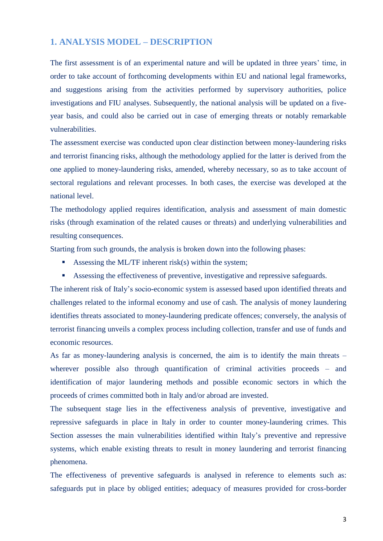### **1. ANALYSIS MODEL – DESCRIPTION**

The first assessment is of an experimental nature and will be updated in three years' time, in order to take account of forthcoming developments within EU and national legal frameworks, and suggestions arising from the activities performed by supervisory authorities, police investigations and FIU analyses. Subsequently, the national analysis will be updated on a fiveyear basis, and could also be carried out in case of emerging threats or notably remarkable vulnerabilities.

The assessment exercise was conducted upon clear distinction between money-laundering risks and terrorist financing risks, although the methodology applied for the latter is derived from the one applied to money-laundering risks, amended, whereby necessary, so as to take account of sectoral regulations and relevant processes. In both cases, the exercise was developed at the national level.

The methodology applied requires identification, analysis and assessment of main domestic risks (through examination of the related causes or threats) and underlying vulnerabilities and resulting consequences.

Starting from such grounds, the analysis is broken down into the following phases:

- Assessing the ML/TF inherent risk(s) within the system;
- Assessing the effectiveness of preventive, investigative and repressive safeguards.

The inherent risk of Italy's socio-economic system is assessed based upon identified threats and challenges related to the informal economy and use of cash. The analysis of money laundering identifies threats associated to money-laundering predicate offences; conversely, the analysis of terrorist financing unveils a complex process including collection, transfer and use of funds and economic resources.

As far as money-laundering analysis is concerned, the aim is to identify the main threats – wherever possible also through quantification of criminal activities proceeds – and identification of major laundering methods and possible economic sectors in which the proceeds of crimes committed both in Italy and/or abroad are invested.

The subsequent stage lies in the effectiveness analysis of preventive, investigative and repressive safeguards in place in Italy in order to counter money-laundering crimes. This Section assesses the main vulnerabilities identified within Italy's preventive and repressive systems, which enable existing threats to result in money laundering and terrorist financing phenomena.

The effectiveness of preventive safeguards is analysed in reference to elements such as: safeguards put in place by obliged entities; adequacy of measures provided for cross-border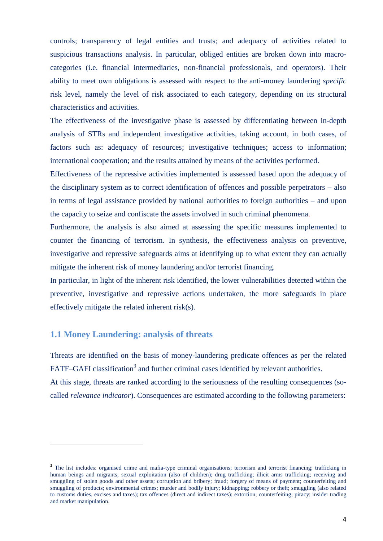controls; transparency of legal entities and trusts; and adequacy of activities related to suspicious transactions analysis. In particular, obliged entities are broken down into macrocategories (i.e. financial intermediaries, non-financial professionals, and operators). Their ability to meet own obligations is assessed with respect to the anti-money laundering *specific* risk level, namely the level of risk associated to each category, depending on its structural characteristics and activities.

The effectiveness of the investigative phase is assessed by differentiating between in-depth analysis of STRs and independent investigative activities, taking account, in both cases, of factors such as: adequacy of resources; investigative techniques; access to information; international cooperation; and the results attained by means of the activities performed.

Effectiveness of the repressive activities implemented is assessed based upon the adequacy of the disciplinary system as to correct identification of offences and possible perpetrators – also in terms of legal assistance provided by national authorities to foreign authorities – and upon the capacity to seize and confiscate the assets involved in such criminal phenomena.

Furthermore, the analysis is also aimed at assessing the specific measures implemented to counter the financing of terrorism. In synthesis, the effectiveness analysis on preventive, investigative and repressive safeguards aims at identifying up to what extent they can actually mitigate the inherent risk of money laundering and/or terrorist financing.

In particular, in light of the inherent risk identified, the lower vulnerabilities detected within the preventive, investigative and repressive actions undertaken, the more safeguards in place effectively mitigate the related inherent risk(s).

### **1.1 Money Laundering: analysis of threats**

 $\overline{a}$ 

Threats are identified on the basis of money-laundering predicate offences as per the related FATF–GAFI classification<sup>3</sup> and further criminal cases identified by relevant authorities.

At this stage, threats are ranked according to the seriousness of the resulting consequences (socalled *relevance indicator*). Consequences are estimated according to the following parameters:

<sup>&</sup>lt;sup>3</sup> The list includes: organised crime and mafia-type criminal organisations; terrorism and terrorist financing; trafficking in human beings and migrants; sexual exploitation (also of children); drug trafficking; illicit arms trafficking; receiving and smuggling of stolen goods and other assets; corruption and bribery; fraud; forgery of means of payment; counterfeiting and smuggling of products; environmental crimes; murder and bodily injury; kidnapping; robbery or theft; smuggling (also related to customs duties, excises and taxes); tax offences (direct and indirect taxes); extortion; counterfeiting; piracy; insider trading and market manipulation.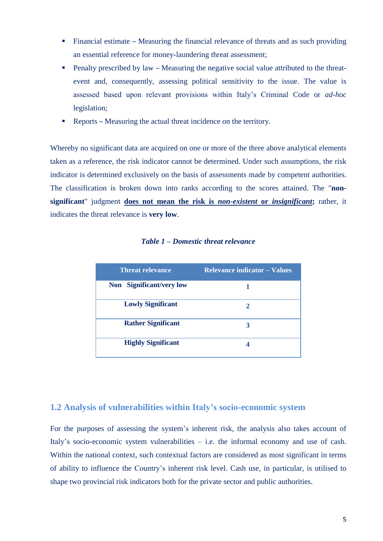- Financial estimate Measuring the financial relevance of threats and as such providing an essential reference for money-laundering threat assessment;
- **Penalty prescribed by law Measuring the negative social value attributed to the threat**event and, consequently, assessing political sensitivity to the issue. The value is assessed based upon relevant provisions within Italy's Criminal Code or *ad-hoc* legislation;
- Reports Measuring the actual threat incidence on the territory.

Whereby no significant data are acquired on one or more of the three above analytical elements taken as a reference, the risk indicator cannot be determined. Under such assumptions, the risk indicator is determined exclusively on the basis of assessments made by competent authorities. The classification is broken down into ranks according to the scores attained. The "**nonsignificant**" judgment **does not mean the risk is** *non-existent* **or** *insignificant***;** rather, it indicates the threat relevance is **very low**.

| <b>Threat relevance</b>   | <b>Relevance indicator – Values</b> |
|---------------------------|-------------------------------------|
| Non Significant/very low  |                                     |
| <b>Lowly Significant</b>  | 2                                   |
| <b>Rather Significant</b> | 3                                   |
| <b>Highly Significant</b> |                                     |

*Table 1 – Domestic threat relevance*

## **1.2 Analysis of vulnerabilities within Italy's socio-economic system**

For the purposes of assessing the system's inherent risk, the analysis also takes account of Italy's socio-economic system vulnerabilities – i.e. the informal economy and use of cash. Within the national context, such contextual factors are considered as most significant in terms of ability to influence the Country's inherent risk level. Cash use, in particular, is utilised to shape two provincial risk indicators both for the private sector and public authorities.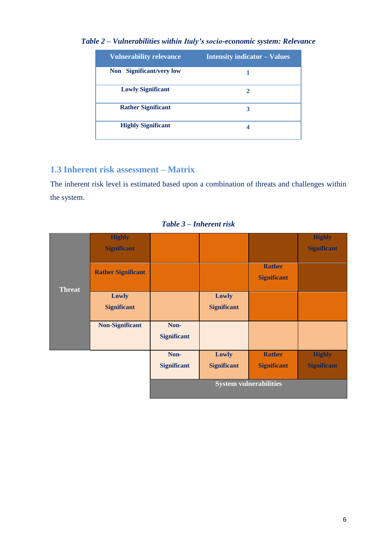| <b>Vulnerability relevance</b> | <b>Intensity indicator – Values</b> |
|--------------------------------|-------------------------------------|
| Non Significant/very low       |                                     |
| <b>Lowly Significant</b>       | $\mathbf{2}$                        |
| <b>Rather Significant</b>      | 3                                   |
| <b>Highly Significant</b>      | 4                                   |

*Table 2 – Vulnerabilities within Italy's socio-economic system: Relevance*

## **1.3 Inherent risk assessment – Matrix**

The inherent risk level is estimated based upon a combination of threats and challenges within the system.

|               | <b>Highly</b>             |                               |                    |                    | <b>Highly</b>      |
|---------------|---------------------------|-------------------------------|--------------------|--------------------|--------------------|
|               | <b>Significant</b>        |                               |                    |                    | <b>Significant</b> |
|               |                           |                               |                    |                    |                    |
|               | <b>Rather Significant</b> |                               |                    | <b>Rather</b>      |                    |
|               |                           |                               |                    | <b>Significant</b> |                    |
| <b>Threat</b> |                           |                               |                    |                    |                    |
|               | Lowly                     |                               | Lowly              |                    |                    |
|               | <b>Significant</b>        |                               | <b>Significant</b> |                    |                    |
|               |                           |                               |                    |                    |                    |
|               | <b>Non-Significant</b>    | Non-                          |                    |                    |                    |
|               |                           | <b>Significant</b>            |                    |                    |                    |
|               |                           |                               |                    |                    |                    |
|               |                           | Non-                          | Lowly              | <b>Rather</b>      | <b>Highly</b>      |
|               |                           | <b>Significant</b>            | <b>Significant</b> | <b>Significant</b> | <b>Significant</b> |
|               |                           |                               |                    |                    |                    |
|               |                           | <b>System vulnerabilities</b> |                    |                    |                    |
|               |                           |                               |                    |                    |                    |

*Table 3 – Inherent risk*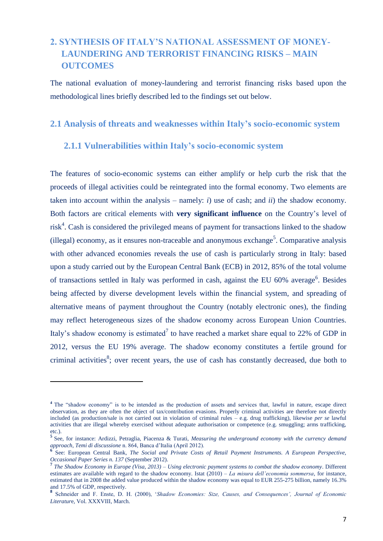## **2. SYNTHESIS OF ITALY'S NATIONAL ASSESSMENT OF MONEY- LAUNDERING AND TERRORIST FINANCING RISKS – MAIN OUTCOMES**

The national evaluation of money-laundering and terrorist financing risks based upon the methodological lines briefly described led to the findings set out below.

#### **2.1 Analysis of threats and weaknesses within Italy's socio-economic system**

### **2.1.1 Vulnerabilities within Italy's socio-economic system**

The features of socio-economic systems can either amplify or help curb the risk that the proceeds of illegal activities could be reintegrated into the formal economy. Two elements are taken into account within the analysis – namely: *i*) use of cash; and *ii*) the shadow economy. Both factors are critical elements with **very significant influence** on the Country's level of  $risk<sup>4</sup>$ . Cash is considered the privileged means of payment for transactions linked to the shadow (illegal) economy, as it ensures non-traceable and anonymous exchange<sup>5</sup>. Comparative analysis with other advanced economies reveals the use of cash is particularly strong in Italy: based upon a study carried out by the European Central Bank (ECB) in 2012, 85% of the total volume of transactions settled in Italy was performed in cash, against the EU 60% average<sup>6</sup>. Besides being affected by diverse development levels within the financial system, and spreading of alternative means of payment throughout the Country (notably electronic ones), the finding may reflect heterogeneous sizes of the shadow economy across European Union Countries. Italy's shadow economy is estimated<sup>7</sup> to have reached a market share equal to 22% of GDP in 2012, versus the EU 19% average. The shadow economy constitutes a fertile ground for criminal activities<sup>8</sup>; over recent years, the use of cash has constantly decreased, due both to

1

**<sup>4</sup>** The "shadow economy" is to be intended as the production of assets and services that, lawful in nature, escape direct observation, as they are often the object of tax/contribution evasions. Properly criminal activities are therefore not directly included (as production/sale is not carried out in violation of criminal rules – e.g. drug trafficking), likewise *per se* lawful activities that are illegal whereby exercised without adequate authorisation or competence (e.g. smuggling; arms trafficking, etc.).

**<sup>5</sup>** See, for instance: Ardizzi, Petraglia, Piacenza & Turati, *Measuring the underground economy with the currency demand approach*, *Temi di discussione* n. 864, Banca d'Italia (April 2012).

<sup>&</sup>lt;sup>6</sup> See: European Central Bank, *The Social and Private Costs of Retail Payment Instruments. A European Perspective, Occasional Paper Series n. 137* (September 2012). **7** *The Shadow Economy in Europe (Visa, 2013) – Using electronic payment systems to combat the shadow economy*. Different

estimates are available with regard to the shadow economy. Istat (2010) *– La misura dell'economia sommersa*, for instance, estimated that in 2008 the added value produced within the shadow economy was equal to EUR 255-275 billion, namely 16.3% and 17.5% of GDP, respectively.

**<sup>8</sup>** Schneider and F. Enste, D. H. (2000), '*Shadow Economies: Size, Causes, and Consequences', Journal of Economic Literatur*e, Vol. XXXVIII, March.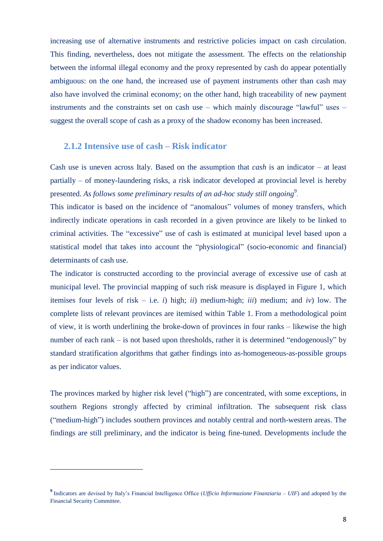increasing use of alternative instruments and restrictive policies impact on cash circulation. This finding, nevertheless, does not mitigate the assessment. The effects on the relationship between the informal illegal economy and the proxy represented by cash do appear potentially ambiguous: on the one hand, the increased use of payment instruments other than cash may also have involved the criminal economy; on the other hand, high traceability of new payment instruments and the constraints set on cash use – which mainly discourage "lawful" uses – suggest the overall scope of cash as a proxy of the shadow economy has been increased.

#### **2.1.2 Intensive use of cash – Risk indicator**

Cash use is uneven across Italy. Based on the assumption that *cash* is an indicator – at least partially – of money-laundering risks, a risk indicator developed at provincial level is hereby presented. As follows some preliminary results of an ad-hoc study still ongoing<sup>9</sup>.

This indicator is based on the incidence of "anomalous" volumes of money transfers, which indirectly indicate operations in cash recorded in a given province are likely to be linked to criminal activities. The "excessive" use of cash is estimated at municipal level based upon a statistical model that takes into account the "physiological" (socio-economic and financial) determinants of cash use.

The indicator is constructed according to the provincial average of excessive use of cash at municipal level. The provincial mapping of such risk measure is displayed in Figure 1, which itemises four levels of risk – i.e. *i*) high; *ii*) medium-high; *iii*) medium; and *iv*) low. The complete lists of relevant provinces are itemised within Table 1. From a methodological point of view, it is worth underlining the broke-down of provinces in four ranks – likewise the high number of each rank – is not based upon thresholds, rather it is determined "endogenously" by standard stratification algorithms that gather findings into as-homogeneous-as-possible groups as per indicator values.

The provinces marked by higher risk level ("high") are concentrated, with some exceptions, in southern Regions strongly affected by criminal infiltration. The subsequent risk class ("medium-high") includes southern provinces and notably central and north-western areas. The findings are still preliminary, and the indicator is being fine-tuned. Developments include the

1

**<sup>9</sup>** Indicators are devised by Italy's Financial Intelligence Office (*Ufficio Informazione Finanziaria – UIF*) and adopted by the Financial Security Committee.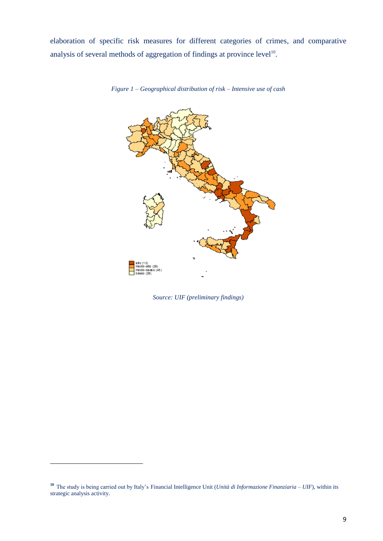elaboration of specific risk measures for different categories of crimes, and comparative analysis of several methods of aggregation of findings at province level $10$ .



*Figure 1 – Geographical distribution of risk – Intensive use of cash* 

*Source: UIF (preliminary findings)*

 $\overline{a}$ 

**<sup>10</sup>** The study is being carried out by Italy's Financial Intelligence Unit (*Unità di Informazione Finanziaria – UIF*), within its strategic analysis activity.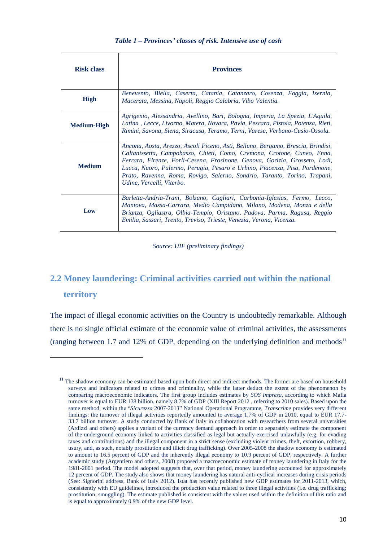| <b>Risk class</b>  | <b>Provinces</b>                                                                                                                                                                                                                                                                                                                                                                                                                    |
|--------------------|-------------------------------------------------------------------------------------------------------------------------------------------------------------------------------------------------------------------------------------------------------------------------------------------------------------------------------------------------------------------------------------------------------------------------------------|
| <b>High</b>        | Benevento, Biella, Caserta, Catania, Catanzaro, Cosenza, Foggia, Isernia,<br>Macerata, Messina, Napoli, Reggio Calabria, Vibo Valentia.                                                                                                                                                                                                                                                                                             |
| <b>Medium-High</b> | Agrigento, Alessandria, Avellino, Bari, Bologna, Imperia, La Spezia, L'Aquila,<br>Latina, Lecce, Livorno, Matera, Novara, Pavia, Pescara, Pistoia, Potenza, Rieti,<br>Rimini, Savona, Siena, Siracusa, Teramo, Terni, Varese, Verbano-Cusio-Ossola.                                                                                                                                                                                 |
| <b>Medium</b>      | Ancona, Aosta, Arezzo, Ascoli Piceno, Asti, Belluno, Bergamo, Brescia, Brindisi,<br>Caltanissetta, Campobasso, Chieti, Como, Cremona, Crotone, Cuneo, Enna,<br>Ferrara, Firenze, Forlì-Cesena, Frosinone, Genova, Gorizia, Grosseto, Lodi,<br>Lucca, Nuoro, Palermo, Perugia, Pesaro e Urbino, Piacenza, Pisa, Pordenone,<br>Prato, Ravenna, Roma, Rovigo, Salerno, Sondrio, Taranto, Torino, Trapani,<br>Udine, Vercelli, Viterbo. |
| Low                | Barletta-Andria-Trani, Bolzano, Cagliari, Carbonia-Iglesias, Fermo, Lecco,<br>Mantova, Massa-Carrara, Medio Campidano, Milano, Modena, Monza e della<br>Brianza, Ogliastra, Olbia-Tempio, Oristano, Padova, Parma, Ragusa, Reggio<br>Emilia, Sassari, Trento, Treviso, Trieste, Venezia, Verona, Vicenza.                                                                                                                           |

*Source: UIF (preliminary findings)*

## **2.2 Money laundering: Criminal activities carried out within the national territory**

The impact of illegal economic activities on the Country is undoubtedly remarkable. Although there is no single official estimate of the economic value of criminal activities, the assessments (ranging between 1.7 and 12% of GDP, depending on the underlying definition and methods<sup>11</sup>

 $\overline{a}$ 

**<sup>11</sup>** The shadow economy can be estimated based upon both direct and indirect methods. The former are based on household surveys and indicators related to crimes and criminality, while the latter deduct the extent of the phenomenon by comparing macroeconomic indicators. The first group includes estimates by *SOS Impresa,* according to which Mafia turnover is equal to EUR 138 billion, namely 8.7% of GDP (XIII Report 2012 , referring to 2010 sales). Based upon the same method, within the "*Sicurezza* 2007-2013" National Operational Programme, *Transcrime* provides very different findings: the turnover of illegal activities reportedly amounted to average 1.7% of GDP in 2010, equal to EUR 17.7- 33.7 billion turnover. A study conducted by Bank of Italy in collaboration with researchers from several universities (Ardizzi and others) applies a variant of the currency demand approach in order to separately estimate the component of the underground economy linked to activities classified as legal but actually exercised unlawfully (e.g. for evading taxes and contributions) and the illegal component in a strict sense (excluding violent crimes, theft, extortion, robbery, usury, and, as such, notably prostitution and illicit drug trafficking). Over 2005-2008 the shadow economy is estimated to amount to 16.5 percent of GDP and the inherently illegal economy to 10.9 percent of GDP, respectively. A further academic study (Argentiero and others, 2008) proposed a macroeconomic estimate of money laundering in Italy for the 1981-2001 period. The model adopted suggests that, over that period, money laundering accounted for approximately 12 percent of GDP. The study also shows that money laundering has natural anti-cyclical increases during crisis periods (See: Signorini address, Bank of Italy 2012). Istat has recently published new GDP estimates for 2011-2013, which, consistently with EU guidelines, introduced the production value related to three illegal activities (i.e. drug trafficking; prostitution; smuggling). The estimate published is consistent with the values used within the definition of this ratio and is equal to approximately 0.9% of the new GDP level.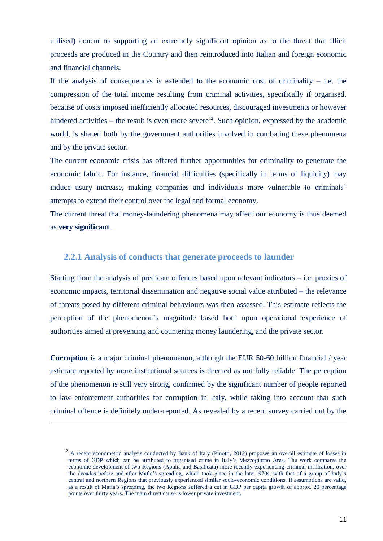utilised) concur to supporting an extremely significant opinion as to the threat that illicit proceeds are produced in the Country and then reintroduced into Italian and foreign economic and financial channels.

If the analysis of consequences is extended to the economic cost of criminality – i.e. the compression of the total income resulting from criminal activities, specifically if organised, because of costs imposed inefficiently allocated resources, discouraged investments or however hindered activities – the result is even more severe<sup>12</sup>. Such opinion, expressed by the academic world, is shared both by the government authorities involved in combating these phenomena and by the private sector.

The current economic crisis has offered further opportunities for criminality to penetrate the economic fabric. For instance, financial difficulties (specifically in terms of liquidity) may induce usury increase, making companies and individuals more vulnerable to criminals' attempts to extend their control over the legal and formal economy.

The current threat that money-laundering phenomena may affect our economy is thus deemed as **very significant**.

### **2.2.1 Analysis of conducts that generate proceeds to launder**

Starting from the analysis of predicate offences based upon relevant indicators – i.e. proxies of economic impacts, territorial dissemination and negative social value attributed – the relevance of threats posed by different criminal behaviours was then assessed. This estimate reflects the perception of the phenomenon's magnitude based both upon operational experience of authorities aimed at preventing and countering money laundering, and the private sector.

**Corruption** is a major criminal phenomenon, although the EUR 50-60 billion financial / year estimate reported by more institutional sources is deemed as not fully reliable. The perception of the phenomenon is still very strong, confirmed by the significant number of people reported to law enforcement authorities for corruption in Italy, while taking into account that such criminal offence is definitely under-reported. As revealed by a recent survey carried out by the

**.** 

<sup>&</sup>lt;sup>12</sup> A recent econometric analysis conducted by Bank of Italy (Pinotti, 2012) proposes an overall estimate of losses in terms of GDP which can be attributed to organised crime in Italy's Mezzogiorno Area. The work compares the economic development of two Regions (Apulia and Basilicata) more recently experiencing criminal infiltration, over the decades before and after Mafia's spreading, which took place in the late 1970s, with that of a group of Italy's central and northern Regions that previously experienced similar socio-economic conditions. If assumptions are valid, as a result of Mafia's spreading, the two Regions suffered a cut in GDP per capita growth of approx. 20 percentage points over thirty years. The main direct cause is lower private investment.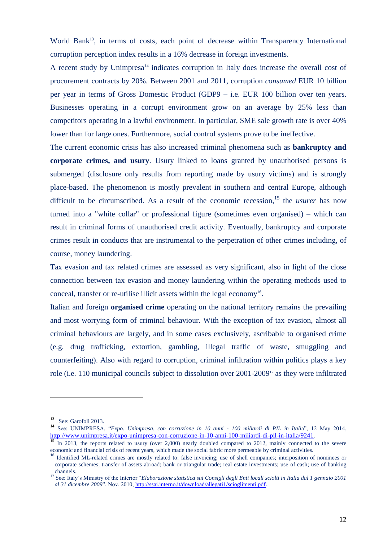World Bank<sup>13</sup>, in terms of costs, each point of decrease within Transparency International corruption perception index results in a 16% decrease in foreign investments.

A recent study by Unimpresa<sup>14</sup> indicates corruption in Italy does increase the overall cost of procurement contracts by 20%. Between 2001 and 2011, corruption *consumed* EUR 10 billion per year in terms of Gross Domestic Product (GDP9 – i.e. EUR 100 billion over ten years. Businesses operating in a corrupt environment grow on an average by 25% less than competitors operating in a lawful environment. In particular, SME sale growth rate is over 40% lower than for large ones. Furthermore, social control systems prove to be ineffective.

The current economic crisis has also increased criminal phenomena such as **bankruptcy and corporate crimes, and usury**. Usury linked to loans granted by unauthorised persons is submerged (disclosure only results from reporting made by usury victims) and is strongly place-based. The phenomenon is mostly prevalent in southern and central Europe, although difficult to be circumscribed. As a result of the economic recession, <sup>15</sup> the *usurer* has now turned into a "white collar" or professional figure (sometimes even organised) – which can result in criminal forms of unauthorised credit activity. Eventually, bankruptcy and corporate crimes result in conducts that are instrumental to the perpetration of other crimes including, of course, money laundering.

Tax evasion and tax related crimes are assessed as very significant, also in light of the close connection between tax evasion and money laundering within the operating methods used to conceal, transfer or re-utilise illicit assets within the legal economy<sup>16</sup>.

Italian and foreign **organised crime** operating on the national territory remains the prevailing and most worrying form of criminal behaviour. With the exception of tax evasion, almost all criminal behaviours are largely, and in some cases exclusively, ascribable to organised crime (e.g. drug trafficking, extortion, gambling, illegal traffic of waste, smuggling and counterfeiting). Also with regard to corruption, criminal infiltration within politics plays a key role (i.e. 110 municipal councils subject to dissolution over 2001-2009<sup>17</sup> as they were infiltrated

 $\overline{a}$ 

**<sup>13</sup>** See: Garofoli 2013.

**<sup>14</sup>** See: UNIMPRESA, "*Expo. Unimpresa, con corruzione in 10 anni - 100 miliardi di PIL in Itali*a", 12 May 2014, <http://www.unimpresa.it/expo-unimpresa-con-corruzione-in-10-anni-100-miliardi-di-pil-in-italia/9241>.

**<sup>15</sup>** In 2013, the reports related to usury (over 2,000) nearly doubled compared to 2012, mainly connected to the severe economic and financial crisis of recent years, which made the social fabric more permeable by criminal activities.

<sup>&</sup>lt;sup>16</sup> Identified ML-related crimes are mostly related to: false invoicing; use of shell companies; interposition of nominees or corporate schemes; transfer of assets abroad; bank or triangular trade; real estate investments; use of cash; use of banking channels.

**<sup>17</sup>** See: Italy's Ministry of the Interior "*Elaborazione statistica sui Consigli degli Enti locali sciolti in Italia dal 1 gennaio 2001 al 31 dicembre 2009*", Nov. 2010, http://ssai.interno.it/download/allegati1/scioglimenti.pdf.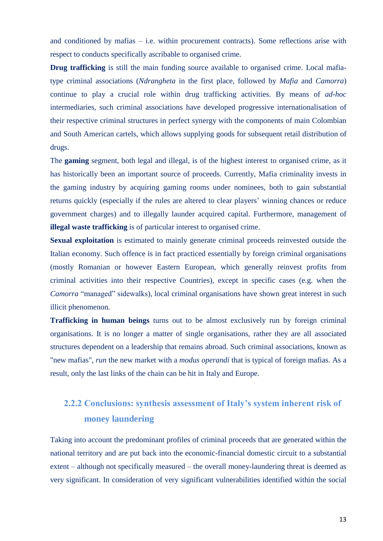and conditioned by mafias – i.e. within procurement contracts). Some reflections arise with respect to conducts specifically ascribable to organised crime.

**Drug trafficking** is still the main funding source available to organised crime. Local mafiatype criminal associations (*Ndrangheta* in the first place, followed by *Mafia* and *Camorra*) continue to play a crucial role within drug trafficking activities. By means of *ad-hoc* intermediaries, such criminal associations have developed progressive internationalisation of their respective criminal structures in perfect synergy with the components of main Colombian and South American cartels, which allows supplying goods for subsequent retail distribution of drugs.

The **gaming** segment, both legal and illegal, is of the highest interest to organised crime, as it has historically been an important source of proceeds. Currently, Mafia criminality invests in the gaming industry by acquiring gaming rooms under nominees, both to gain substantial returns quickly (especially if the rules are altered to clear players' winning chances or reduce government charges) and to illegally launder acquired capital. Furthermore, management of **illegal waste trafficking** is of particular interest to organised crime.

**Sexual exploitation** is estimated to mainly generate criminal proceeds reinvested outside the Italian economy. Such offence is in fact practiced essentially by foreign criminal organisations (mostly Romanian or however Eastern European, which generally reinvest profits from criminal activities into their respective Countries), except in specific cases (e.g. when the *Camorra* "managed" sidewalks), local criminal organisations have shown great interest in such illicit phenomenon.

**Trafficking in human beings** turns out to be almost exclusively run by foreign criminal organisations. It is no longer a matter of single organisations, rather they are all associated structures dependent on a leadership that remains abroad. Such criminal associations, known as "new mafias", *run* the new market with a *modus operandi* that is typical of foreign mafias. As a result, only the last links of the chain can be hit in Italy and Europe.

## **2.2.2 Conclusions: synthesis assessment of Italy's system inherent risk of money laundering**

Taking into account the predominant profiles of criminal proceeds that are generated within the national territory and are put back into the economic-financial domestic circuit to a substantial extent – although not specifically measured – the overall money-laundering threat is deemed as very significant. In consideration of very significant vulnerabilities identified within the social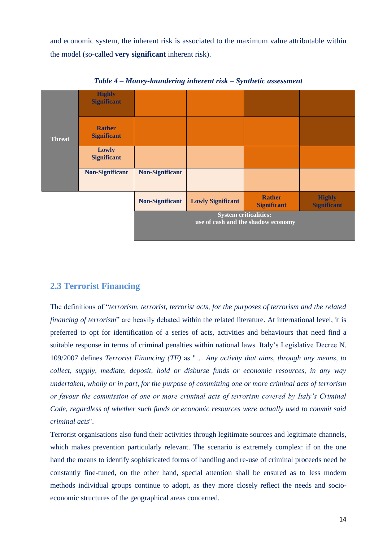and economic system, the inherent risk is associated to the maximum value attributable within the model (so-called **very significant** inherent risk).



*Table 4 – Money-laundering inherent risk – Synthetic assessment* 

## **2.3 Terrorist Financing**

The definitions of "*terrorism, terrorist, terrorist acts, for the purposes of terrorism and the related financing of terrorism*" are heavily debated within the related literature. At international level, it is preferred to opt for identification of a series of acts, activities and behaviours that need find a suitable response in terms of criminal penalties within national laws. Italy's Legislative Decree N. 109/2007 defines *Terrorist Financing (TF)* as "… *Any activity that aims, through any means, to collect, supply, mediate, deposit, hold or disburse funds or economic resources, in any way undertaken, wholly or in part, for the purpose of committing one or more criminal acts of terrorism or favour the commission of one or more criminal acts of terrorism covered by Italy's Criminal Code, regardless of whether such funds or economic resources were actually used to commit said criminal acts*".

Terrorist organisations also fund their activities through legitimate sources and legitimate channels, which makes prevention particularly relevant. The scenario is extremely complex: if on the one hand the means to identify sophisticated forms of handling and re-use of criminal proceeds need be constantly fine-tuned, on the other hand, special attention shall be ensured as to less modern methods individual groups continue to adopt, as they more closely reflect the needs and socioeconomic structures of the geographical areas concerned.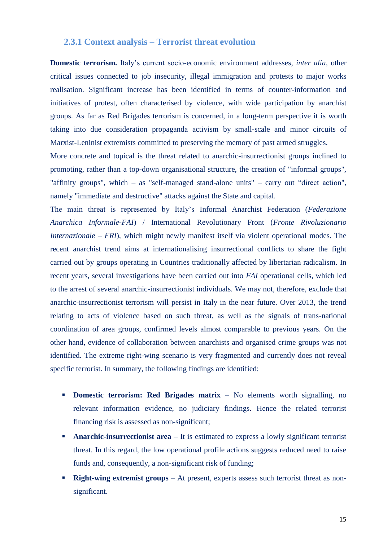### **2.3.1 Context analysis – Terrorist threat evolution**

**Domestic terrorism.** Italy's current socio-economic environment addresses, *inter alia*, other critical issues connected to job insecurity, illegal immigration and protests to major works realisation. Significant increase has been identified in terms of counter-information and initiatives of protest, often characterised by violence, with wide participation by anarchist groups. As far as Red Brigades terrorism is concerned, in a long-term perspective it is worth taking into due consideration propaganda activism by small-scale and minor circuits of Marxist-Leninist extremists committed to preserving the memory of past armed struggles.

More concrete and topical is the threat related to anarchic-insurrectionist groups inclined to promoting, rather than a top-down organisational structure, the creation of "informal groups", "affinity groups", which – as "self-managed stand-alone units" – carry out "direct action", namely "immediate and destructive" attacks against the State and capital.

The main threat is represented by Italy's Informal Anarchist Federation (*Federazione Anarchica Informale-FAI*) / International Revolutionary Front (*Fronte Rivoluzionario Internazionale – FRI*), which might newly manifest itself via violent operational modes. The recent anarchist trend aims at internationalising insurrectional conflicts to share the fight carried out by groups operating in Countries traditionally affected by libertarian radicalism. In recent years, several investigations have been carried out into *FAI* operational cells, which led to the arrest of several anarchic-insurrectionist individuals. We may not, therefore, exclude that anarchic-insurrectionist terrorism will persist in Italy in the near future. Over 2013, the trend relating to acts of violence based on such threat, as well as the signals of trans-national coordination of area groups, confirmed levels almost comparable to previous years. On the other hand, evidence of collaboration between anarchists and organised crime groups was not identified. The extreme right-wing scenario is very fragmented and currently does not reveal specific terrorist. In summary, the following findings are identified:

- **Domestic terrorism: Red Brigades matrix –** No elements worth signalling, no relevant information evidence, no judiciary findings. Hence the related terrorist financing risk is assessed as non-significant;
- **Anarchic-insurrectionist area**  It is estimated to express a lowly significant terrorist threat. In this regard, the low operational profile actions suggests reduced need to raise funds and, consequently, a non-significant risk of funding;
- **Right-wing extremist groups** At present, experts assess such terrorist threat as nonsignificant.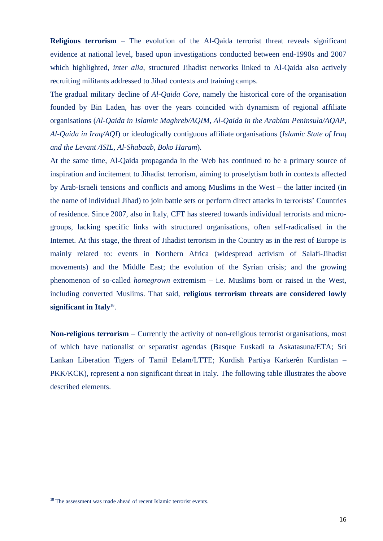**Religious terrorism** – The evolution of the Al-Qaida terrorist threat reveals significant evidence at national level, based upon investigations conducted between end-1990s and 2007 which highlighted, *inter alia*, structured Jihadist networks linked to Al-Qaida also actively recruiting militants addressed to Jihad contexts and training camps.

The gradual military decline of *Al-Qaida Core*, namely the historical core of the organisation founded by Bin Laden, has over the years coincided with dynamism of regional affiliate organisations (*Al-Qaida in Islamic Maghreb/AQIM, Al-Qaida in the Arabian Peninsula/AQAP, Al-Qaida in Iraq/AQI*) or ideologically contiguous affiliate organisations (*Islamic State of Iraq and the Levant /ISIL*, *Al-Shabaab, Boko Haram*).

At the same time, Al-Qaida propaganda in the Web has continued to be a primary source of inspiration and incitement to Jihadist terrorism, aiming to proselytism both in contexts affected by Arab-Israeli tensions and conflicts and among Muslims in the West – the latter incited (in the name of individual Jihad) to join battle sets or perform direct attacks in terrorists' Countries of residence. Since 2007, also in Italy, CFT has steered towards individual terrorists and microgroups, lacking specific links with structured organisations, often self-radicalised in the Internet. At this stage, the threat of Jihadist terrorism in the Country as in the rest of Europe is mainly related to: events in Northern Africa (widespread activism of Salafi-Jihadist movements) and the Middle East; the evolution of the Syrian crisis; and the growing phenomenon of so-called *homegrown* extremism – i.e. Muslims born or raised in the West, including converted Muslims. That said, **religious terrorism threats are considered lowly**  significant in Italy<sup>18</sup>.

**Non-religious terrorism** – Currently the activity of non-religious terrorist organisations, most of which have nationalist or separatist agendas (Basque Euskadi ta Askatasuna/ETA; Sri Lankan Liberation Tigers of Tamil Eelam/LTTE; Kurdish Partiya Karkerên Kurdistan – PKK/KCK), represent a non significant threat in Italy. The following table illustrates the above described elements.

**.** 

**<sup>18</sup>** The assessment was made ahead of recent Islamic terrorist events.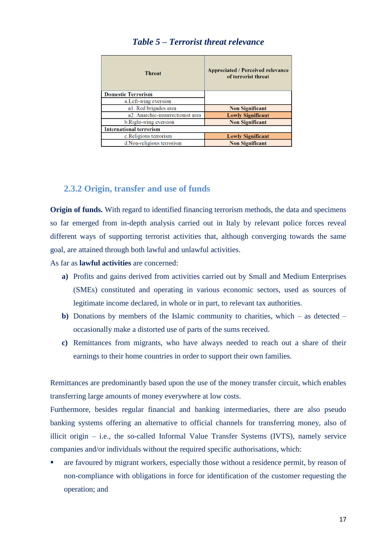| <b>Threat</b>                     | Appreciated / Perceived relevance<br>of terrorist threat |  |
|-----------------------------------|----------------------------------------------------------|--|
| <b>Domestic Terrorism</b>         |                                                          |  |
| a. Left-wing eversion             |                                                          |  |
| a1. Red brigades area             | <b>Non Significant</b>                                   |  |
| a2. Anarchic-insurrectionist area | <b>Lowly Significant</b>                                 |  |
| b. Right-wing eversion            | <b>Non Significant</b>                                   |  |
| <b>International terrorism</b>    |                                                          |  |
| c. Religious terrorism            | <b>Lowly Significant</b>                                 |  |
| d.Non-religious terrorism         | <b>Non Significant</b>                                   |  |

## *Table 5 – Terrorist threat relevance*

## **2.3.2 Origin, transfer and use of funds**

**Origin of funds***.* With regard to identified financing terrorism methods, the data and specimens so far emerged from in-depth analysis carried out in Italy by relevant police forces reveal different ways of supporting terrorist activities that, although converging towards the same goal, are attained through both lawful and unlawful activities.

As far as **lawful activities** are concerned:

- **a)** Profits and gains derived from activities carried out by Small and Medium Enterprises (SMEs) constituted and operating in various economic sectors, used as sources of legitimate income declared, in whole or in part, to relevant tax authorities.
- **b)** Donations by members of the Islamic community to charities, which as detected occasionally make a distorted use of parts of the sums received.
- **c)** Remittances from migrants, who have always needed to reach out a share of their earnings to their home countries in order to support their own families.

Remittances are predominantly based upon the use of the money transfer circuit, which enables transferring large amounts of money everywhere at low costs.

Furthermore, besides regular financial and banking intermediaries, there are also pseudo banking systems offering an alternative to official channels for transferring money, also of illicit origin – i.e., the so-called Informal Value Transfer Systems (IVTS), namely service companies and/or individuals without the required specific authorisations, which:

 are favoured by migrant workers, especially those without a residence permit, by reason of non-compliance with obligations in force for identification of the customer requesting the operation; and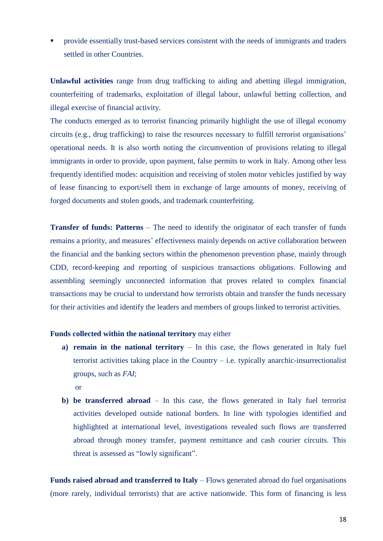provide essentially trust-based services consistent with the needs of immigrants and traders settled in other Countries.

**Unlawful activities** range from drug trafficking to aiding and abetting illegal immigration, counterfeiting of trademarks, exploitation of illegal labour, unlawful betting collection, and illegal exercise of financial activity.

The conducts emerged as to terrorist financing primarily highlight the use of illegal economy circuits (e.g., drug trafficking) to raise the resources necessary to fulfill terrorist organisations' operational needs. It is also worth noting the circumvention of provisions relating to illegal immigrants in order to provide, upon payment, false permits to work in Italy. Among other less frequently identified modes: acquisition and receiving of stolen motor vehicles justified by way of lease financing to export/sell them in exchange of large amounts of money, receiving of forged documents and stolen goods, and trademark counterfeiting.

**Transfer of funds: Patterns** – The need to identify the originator of each transfer of funds remains a priority, and measures' effectiveness mainly depends on active collaboration between the financial and the banking sectors within the phenomenon prevention phase, mainly through CDD, record-keeping and reporting of suspicious transactions obligations. Following and assembling seemingly unconnected information that proves related to complex financial transactions may be crucial to understand how terrorists obtain and transfer the funds necessary for their activities and identify the leaders and members of groups linked to terrorist activities.

#### **Funds collected within the national territory** may either

- **a) remain in the national territory** In this case, the flows generated in Italy fuel terrorist activities taking place in the Country  $-$  i.e. typically anarchic-insurrectionalist groups, such as *FAI*;
	- or
- **b) be transferred abroad** In this case, the flows generated in Italy fuel terrorist activities developed outside national borders. In line with typologies identified and highlighted at international level, investigations revealed such flows are transferred abroad through money transfer, payment remittance and cash courier circuits. This threat is assessed as "lowly significant".

**Funds raised abroad and transferred to Italy** – Flows generated abroad do fuel organisations (more rarely, individual terrorists) that are active nationwide. This form of financing is less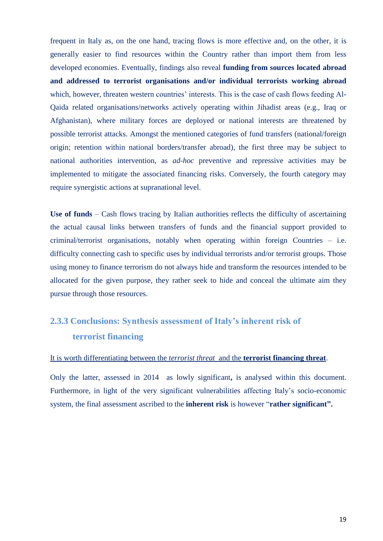frequent in Italy as, on the one hand, tracing flows is more effective and, on the other, it is generally easier to find resources within the Country rather than import them from less developed economies. Eventually, findings also reveal **funding from sources located abroad and addressed to terrorist organisations and/or individual terrorists working abroad** which, however, threaten western countries' interests. This is the case of cash flows feeding Al-Qaida related organisations/networks actively operating within Jihadist areas (e.g., Iraq or Afghanistan), where military forces are deployed or national interests are threatened by possible terrorist attacks. Amongst the mentioned categories of fund transfers (national/foreign origin; retention within national borders/transfer abroad), the first three may be subject to national authorities intervention, as *ad-hoc* preventive and repressive activities may be implemented to mitigate the associated financing risks. Conversely, the fourth category may require synergistic actions at supranational level.

**Use of funds** – Cash flows tracing by Italian authorities reflects the difficulty of ascertaining the actual causal links between transfers of funds and the financial support provided to criminal/terrorist organisations, notably when operating within foreign Countries – i.e. difficulty connecting cash to specific uses by individual terrorists and/or terrorist groups. Those using money to finance terrorism do not always hide and transform the resources intended to be allocated for the given purpose, they rather seek to hide and conceal the ultimate aim they pursue through those resources.

## **2.3.3 Conclusions: Synthesis assessment of Italy's inherent risk of terrorist financing**

#### It is worth differentiating between the *terrorist threat* and the **terrorist financing threat**.

Only the latter, assessed in 2014 as lowly significant**,** is analysed within this document. Furthermore, in light of the very significant vulnerabilities affecting Italy's socio-economic system, the final assessment ascribed to the **inherent risk** is however "**rather significant".**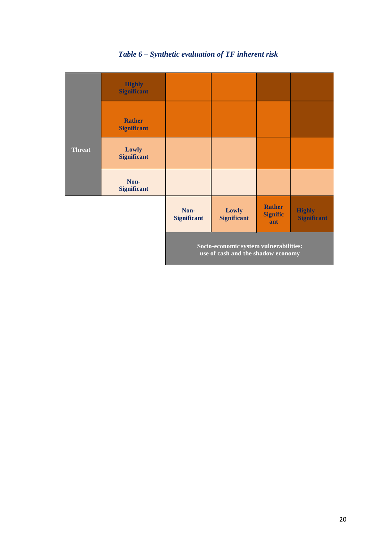

## *Table 6 – Synthetic evaluation of TF inherent risk*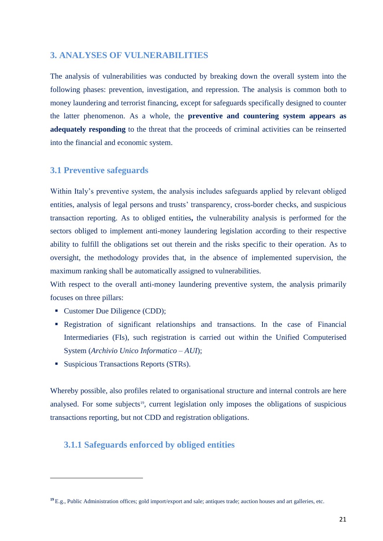### **3. ANALYSES OF VULNERABILITIES**

The analysis of vulnerabilities was conducted by breaking down the overall system into the following phases: prevention, investigation, and repression. The analysis is common both to money laundering and terrorist financing, except for safeguards specifically designed to counter the latter phenomenon. As a whole, the **preventive and countering system appears as adequately responding** to the threat that the proceeds of criminal activities can be reinserted into the financial and economic system.

### **3.1 Preventive safeguards**

Within Italy's preventive system, the analysis includes safeguards applied by relevant obliged entities, analysis of legal persons and trusts' transparency, cross-border checks, and suspicious transaction reporting. As to obliged entities**,** the vulnerability analysis is performed for the sectors obliged to implement anti-money laundering legislation according to their respective ability to fulfill the obligations set out therein and the risks specific to their operation. As to oversight, the methodology provides that, in the absence of implemented supervision, the maximum ranking shall be automatically assigned to vulnerabilities.

With respect to the overall anti-money laundering preventive system, the analysis primarily focuses on three pillars:

• Customer Due Diligence (CDD);

**.** 

- Registration of significant relationships and transactions. In the case of Financial Intermediaries (FIs), such registration is carried out within the Unified Computerised System (*Archivio Unico Informatico – AUI*);
- Suspicious Transactions Reports (STRs).

Whereby possible, also profiles related to organisational structure and internal controls are here analysed. For some subjects<sup>19</sup>, current legislation only imposes the obligations of suspicious transactions reporting, but not CDD and registration obligations.

## **3.1.1 Safeguards enforced by obliged entities**

**<sup>19</sup>** E.g., Public Administration offices; gold import/export and sale; antiques trade; auction houses and art galleries, etc.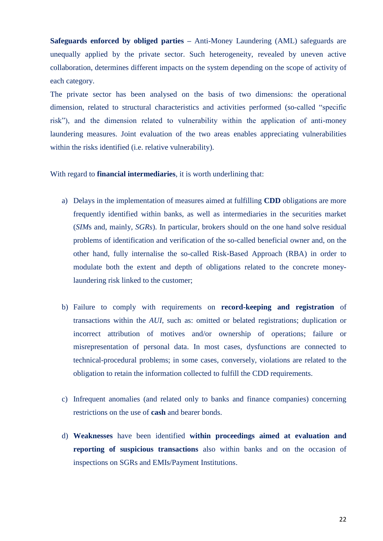**Safeguards enforced by obliged parties –** Anti-Money Laundering (AML) safeguards are unequally applied by the private sector. Such heterogeneity, revealed by uneven active collaboration, determines different impacts on the system depending on the scope of activity of each category.

The private sector has been analysed on the basis of two dimensions: the operational dimension, related to structural characteristics and activities performed (so-called "specific risk"), and the dimension related to vulnerability within the application of anti-money laundering measures. Joint evaluation of the two areas enables appreciating vulnerabilities within the risks identified (i.e. relative vulnerability).

#### With regard to **financial intermediaries**, it is worth underlining that:

- a) Delays in the implementation of measures aimed at fulfilling **CDD** obligations are more frequently identified within banks, as well as intermediaries in the securities market (*SIM*s and, mainly, *SGRs*). In particular, brokers should on the one hand solve residual problems of identification and verification of the so-called beneficial owner and, on the other hand, fully internalise the so-called Risk-Based Approach (RBA) in order to modulate both the extent and depth of obligations related to the concrete moneylaundering risk linked to the customer;
- b) Failure to comply with requirements on **record-keeping and registration** of transactions within the *AUI*, such as: omitted or belated registrations; duplication or incorrect attribution of motives and/or ownership of operations; failure or misrepresentation of personal data. In most cases, dysfunctions are connected to technical-procedural problems; in some cases, conversely, violations are related to the obligation to retain the information collected to fulfill the CDD requirements.
- c) Infrequent anomalies (and related only to banks and finance companies) concerning restrictions on the use of **cash** and bearer bonds.
- d) **Weaknesses** have been identified **within proceedings aimed at evaluation and reporting of suspicious transactions** also within banks and on the occasion of inspections on SGRs and EMIs/Payment Institutions.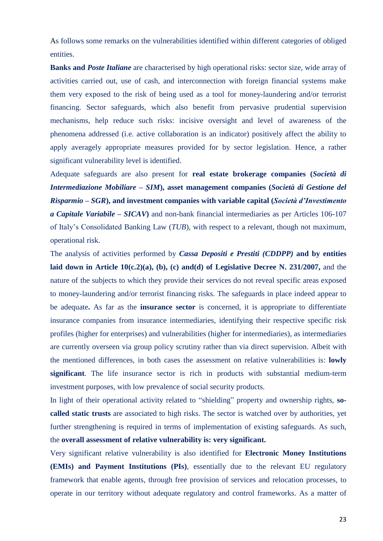As follows some remarks on the vulnerabilities identified within different categories of obliged entities.

**Banks and** *Poste Italiane* are characterised by high operational risks: sector size, wide array of activities carried out, use of cash, and interconnection with foreign financial systems make them very exposed to the risk of being used as a tool for money-laundering and/or terrorist financing. Sector safeguards, which also benefit from pervasive prudential supervision mechanisms, help reduce such risks: incisive oversight and level of awareness of the phenomena addressed (i.e. active collaboration is an indicator) positively affect the ability to apply averagely appropriate measures provided for by sector legislation. Hence, a rather significant vulnerability level is identified.

Adequate safeguards are also present for **real estate brokerage companies (***Società di Intermediazione Mobiliare* **–** *SIM***), asset management companies (***Società di Gestione del Risparmio* **–** *SGR***), and investment companies with variable capital (***Società d'Investimento a Capitale Variabile* **–** *SICAV***)** and non-bank financial intermediaries as per Articles 106-107 of Italy's Consolidated Banking Law (*TUB*), with respect to a relevant, though not maximum, operational risk.

The analysis of activities performed by *Cassa Depositi e Prestiti (CDDPP)* **and by entities laid down in Article 10(c.2)(a), (b), (c) and(d) of Legislative Decree N. 231/2007,** and the nature of the subjects to which they provide their services do not reveal specific areas exposed to money-laundering and/or terrorist financing risks. The safeguards in place indeed appear to be adequate**.** As far as the **insurance sector** is concerned, it is appropriate to differentiate insurance companies from insurance intermediaries, identifying their respective specific risk profiles (higher for enterprises) and vulnerabilities (higher for intermediaries), as intermediaries are currently overseen via group policy scrutiny rather than via direct supervision. Albeit with the mentioned differences, in both cases the assessment on relative vulnerabilities is: **lowly significant**. The life insurance sector is rich in products with substantial medium-term investment purposes, with low prevalence of social security products.

In light of their operational activity related to "shielding" property and ownership rights, **socalled static trusts** are associated to high risks. The sector is watched over by authorities, yet further strengthening is required in terms of implementation of existing safeguards. As such, the **overall assessment of relative vulnerability is: very significant.**

Very significant relative vulnerability is also identified for **Electronic Money Institutions (EMIs) and Payment Institutions (PIs)**, essentially due to the relevant EU regulatory framework that enable agents, through free provision of services and relocation processes, to operate in our territory without adequate regulatory and control frameworks. As a matter of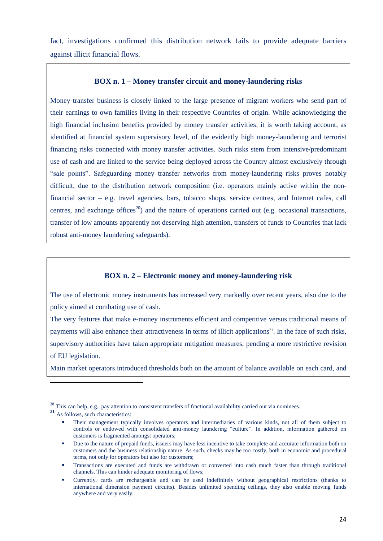fact, investigations confirmed this distribution network fails to provide adequate barriers against illicit financial flows.

#### **BOX n. 1 – Money transfer circuit and money-laundering risks**

Money transfer business is closely linked to the large presence of migrant workers who send part of their earnings to own families living in their respective Countries of origin. While acknowledging the high financial inclusion benefits provided by money transfer activities, it is worth taking account, as identified at financial system supervisory level, of the evidently high money-laundering and terrorist financing risks connected with money transfer activities. Such risks stem from intensive/predominant use of cash and are linked to the service being deployed across the Country almost exclusively through "sale points". Safeguarding money transfer networks from money-laundering risks proves notably difficult, due to the distribution network composition (i.e. operators mainly active within the nonfinancial sector – e.g. travel agencies, bars, tobacco shops, service centres, and Internet cafes, call centres, and exchange offices<sup>20</sup>) and the nature of operations carried out (e.g. occasional transactions, transfer of low amounts apparently not deserving high attention, transfers of funds to Countries that lack robust anti-money laundering safeguards).

#### **BOX n. 2 – Electronic money and money-laundering risk**

The use of electronic money instruments has increased very markedly over recent years, also due to the policy aimed at combating use of cash.

The very features that make e-money instruments efficient and competitive versus traditional means of payments will also enhance their attractiveness in terms of illicit applications<sup>21</sup>. In the face of such risks, supervisory authorities have taken appropriate mitigation measures, pending a more restrictive revision of EU legislation.

Main market operators introduced thresholds both on the amount of balance available on each card, and

**.** 

<sup>&</sup>lt;sup>20</sup> This can help, e.g., pay attention to consistent transfers of fractional availability carried out via nominees.

**<sup>21</sup>** As follows, such characteristics:

Their management typically involves operators and intermediaries of various kinds, not all of them subject to controls or endowed with consolidated anti-money laundering "culture". In addition, information gathered on customers is fragmented amongst operators;

Due to the nature of prepaid funds, issuers may have less incentive to take complete and accurate information both on customers and the business relationship nature. As such, checks may be too costly, both in economic and procedural terms, not only for operators but also for customers;

Transactions are executed and funds are withdrawn or converted into cash much faster than through traditional channels. This can hinder adequate monitoring of flows;

Currently, cards are rechargeable and can be used indefinitely without geographical restrictions (thanks to international dimension payment circuits). Besides unlimited spending ceilings, they also enable moving funds anywhere and very easily.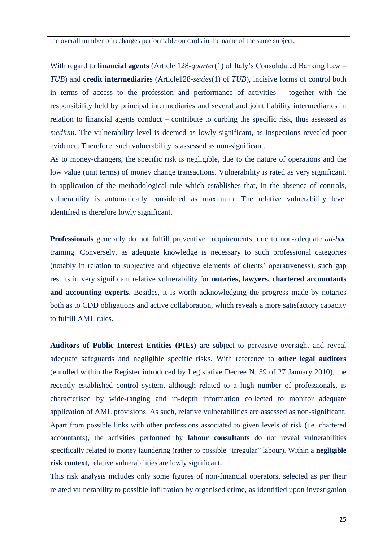With regard to **financial agents** (Article 128-*quarter*(1) of Italy's Consolidated Banking Law – *TUB*) and **credit intermediaries** (Article128-*sexies*(1) of *TUB*), incisive forms of control both in terms of access to the profession and performance of activities – together with the responsibility held by principal intermediaries and several and joint liability intermediaries in relation to financial agents conduct – contribute to curbing the specific risk, thus assessed as *medium*. The vulnerability level is deemed as lowly significant, as inspections revealed poor evidence. Therefore, such vulnerability is assessed as non-significant.

As to money-changers, the specific risk is negligible, due to the nature of operations and the low value (unit terms) of money change transactions. Vulnerability is rated as very significant, in application of the methodological rule which establishes that, in the absence of controls, vulnerability is automatically considered as maximum. The relative vulnerability level identified is therefore lowly significant.

**Professionals** generally do not fulfill preventive requirements, due to non-adequate *ad-hoc* training. Conversely, as adequate knowledge is necessary to such professional categories (notably in relation to subjective and objective elements of clients' operativeness), such gap results in very significant relative vulnerability for **notaries, lawyers, chartered accountants and accounting experts**. Besides, it is worth acknowledging the progress made by notaries both as to CDD obligations and active collaboration, which reveals a more satisfactory capacity to fulfill AML rules.

**Auditors of Public Interest Entities (PIEs)** are subject to pervasive oversight and reveal adequate safeguards and negligible specific risks. With reference to **other legal auditors** (enrolled within the Register introduced by Legislative Decree N. 39 of 27 January 2010), the recently established control system, although related to a high number of professionals, is characterised by wide-ranging and in-depth information collected to monitor adequate application of AML provisions. As such, relative vulnerabilities are assessed as non-significant. Apart from possible links with other professions associated to given levels of risk (i.e. chartered accountants), the activities performed by **labour consultants** do not reveal vulnerabilities specifically related to money laundering (rather to possible "irregular" labour). Within a **negligible risk context,** relative vulnerabilities are lowly significant**.** 

This risk analysis includes only some figures of non-financial operators, selected as per their related vulnerability to possible infiltration by organised crime, as identified upon investigation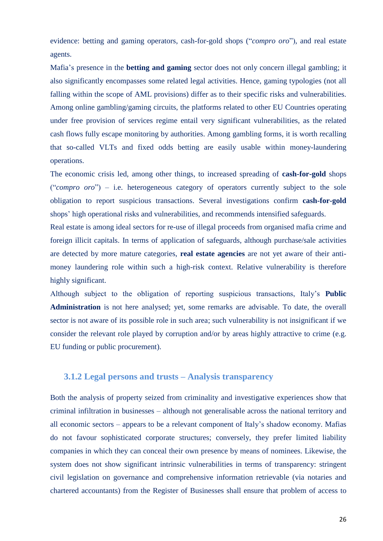evidence: betting and gaming operators, cash-for-gold shops ("*compro oro*"), and real estate agents.

Mafia's presence in the **betting and gaming** sector does not only concern illegal gambling; it also significantly encompasses some related legal activities. Hence, gaming typologies (not all falling within the scope of AML provisions) differ as to their specific risks and vulnerabilities. Among online gambling/gaming circuits, the platforms related to other EU Countries operating under free provision of services regime entail very significant vulnerabilities, as the related cash flows fully escape monitoring by authorities. Among gambling forms, it is worth recalling that so-called VLTs and fixed odds betting are easily usable within money-laundering operations.

The economic crisis led, among other things, to increased spreading of **cash-for-gold** shops ("*compro oro*") – i.e. heterogeneous category of operators currently subject to the sole obligation to report suspicious transactions. Several investigations confirm **cash-for-gold** shops' high operational risks and vulnerabilities, and recommends intensified safeguards.

Real estate is among ideal sectors for re-use of illegal proceeds from organised mafia crime and foreign illicit capitals. In terms of application of safeguards, although purchase/sale activities are detected by more mature categories, **real estate agencies** are not yet aware of their antimoney laundering role within such a high-risk context. Relative vulnerability is therefore highly significant.

Although subject to the obligation of reporting suspicious transactions, Italy's **Public Administration** is not here analysed; yet, some remarks are advisable. To date, the overall sector is not aware of its possible role in such area; such vulnerability is not insignificant if we consider the relevant role played by corruption and/or by areas highly attractive to crime (e.g. EU funding or public procurement).

### **3.1.2 Legal persons and trusts – Analysis transparency**

Both the analysis of property seized from criminality and investigative experiences show that criminal infiltration in businesses – although not generalisable across the national territory and all economic sectors – appears to be a relevant component of Italy's shadow economy. Mafias do not favour sophisticated corporate structures; conversely, they prefer limited liability companies in which they can conceal their own presence by means of nominees. Likewise, the system does not show significant intrinsic vulnerabilities in terms of transparency: stringent civil legislation on governance and comprehensive information retrievable (via notaries and chartered accountants) from the Register of Businesses shall ensure that problem of access to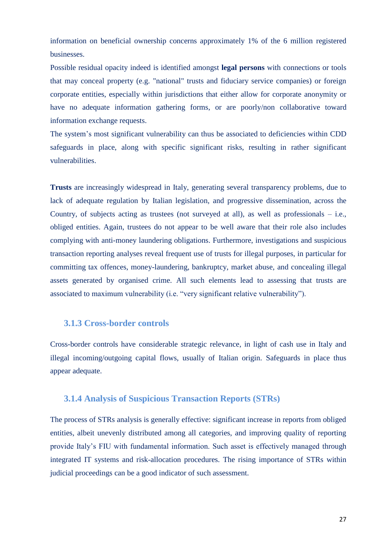information on beneficial ownership concerns approximately 1% of the 6 million registered businesses.

Possible residual opacity indeed is identified amongst **legal persons** with connections or tools that may conceal property (e.g. "national" trusts and fiduciary service companies) or foreign corporate entities, especially within jurisdictions that either allow for corporate anonymity or have no adequate information gathering forms, or are poorly/non collaborative toward information exchange requests.

The system's most significant vulnerability can thus be associated to deficiencies within CDD safeguards in place, along with specific significant risks, resulting in rather significant vulnerabilities.

**Trusts** are increasingly widespread in Italy, generating several transparency problems, due to lack of adequate regulation by Italian legislation, and progressive dissemination, across the Country, of subjects acting as trustees (not surveyed at all), as well as professionals – i.e., obliged entities. Again, trustees do not appear to be well aware that their role also includes complying with anti-money laundering obligations. Furthermore, investigations and suspicious transaction reporting analyses reveal frequent use of trusts for illegal purposes, in particular for committing tax offences, money-laundering, bankruptcy, market abuse, and concealing illegal assets generated by organised crime. All such elements lead to assessing that trusts are associated to maximum vulnerability (i.e. "very significant relative vulnerability").

#### **3.1.3 Cross-border controls**

Cross-border controls have considerable strategic relevance, in light of cash use in Italy and illegal incoming/outgoing capital flows, usually of Italian origin. Safeguards in place thus appear adequate.

#### **3.1.4 Analysis of Suspicious Transaction Reports (STRs)**

The process of STRs analysis is generally effective: significant increase in reports from obliged entities, albeit unevenly distributed among all categories, and improving quality of reporting provide Italy's FIU with fundamental information. Such asset is effectively managed through integrated IT systems and risk-allocation procedures. The rising importance of STRs within judicial proceedings can be a good indicator of such assessment.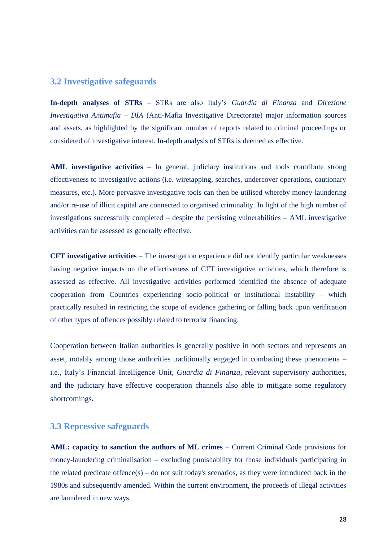### **3.2 Investigative safeguards**

**In-depth analyses of STRs** – STRs are also Italy's *Guardia di Finanza* and *Direzione Investigativa Antimafia* – *DIA* (Anti-Mafia Investigative Directorate) major information sources and assets, as highlighted by the significant number of reports related to criminal proceedings or considered of investigative interest. In-depth analysis of STRs is deemed as effective.

**AML investigative activities** – In general, judiciary institutions and tools contribute strong effectiveness to investigative actions (i.e. wiretapping, searches, undercover operations, cautionary measures, etc.). More pervasive investigative tools can then be utilised whereby money-laundering and/or re-use of illicit capital are connected to organised criminality. In light of the high number of investigations successfully completed – despite the persisting vulnerabilities – AML investigative activities can be assessed as generally effective.

**CFT investigative activities** – The investigation experience did not identify particular weaknesses having negative impacts on the effectiveness of CFT investigative activities, which therefore is assessed as effective. All investigative activities performed identified the absence of adequate cooperation from Countries experiencing socio-political or institutional instability – which practically resulted in restricting the scope of evidence gathering or falling back upon verification of other types of offences possibly related to terrorist financing.

Cooperation between Italian authorities is generally positive in both sectors and represents an asset, notably among those authorities traditionally engaged in combating these phenomena – i.e., Italy's Financial Intelligence Unit, *Guardia di Finanza*, relevant supervisory authorities, and the judiciary have effective cooperation channels also able to mitigate some regulatory shortcomings.

#### **3.3 Repressive safeguards**

**AML: capacity to sanction the authors of ML crimes** – Current Criminal Code provisions for money-laundering criminalisation – excluding punishability for those individuals participating in the related predicate offence(s) – do not suit today's scenarios, as they were introduced back in the 1980s and subsequently amended. Within the current environment, the proceeds of illegal activities are laundered in new ways.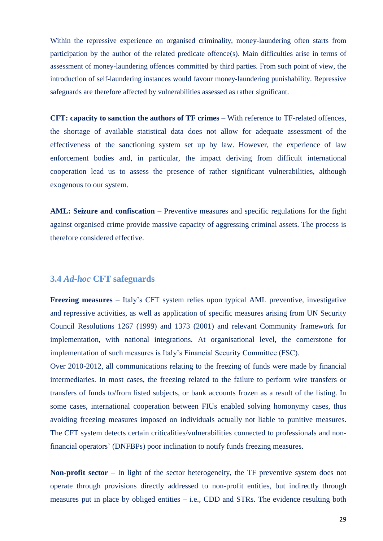Within the repressive experience on organised criminality, money-laundering often starts from participation by the author of the related predicate offence(s). Main difficulties arise in terms of assessment of money-laundering offences committed by third parties. From such point of view, the introduction of self-laundering instances would favour money-laundering punishability. Repressive safeguards are therefore affected by vulnerabilities assessed as rather significant.

**CFT: capacity to sanction the authors of TF crimes** – With reference to TF-related offences, the shortage of available statistical data does not allow for adequate assessment of the effectiveness of the sanctioning system set up by law. However, the experience of law enforcement bodies and, in particular, the impact deriving from difficult international cooperation lead us to assess the presence of rather significant vulnerabilities, although exogenous to our system.

**AML: Seizure and confiscation** – Preventive measures and specific regulations for the fight against organised crime provide massive capacity of aggressing criminal assets. The process is therefore considered effective.

#### **3.4** *Ad-hoc* **CFT safeguards**

**Freezing measures** – Italy's CFT system relies upon typical AML preventive, investigative and repressive activities, as well as application of specific measures arising from UN Security Council Resolutions 1267 (1999) and 1373 (2001) and relevant Community framework for implementation, with national integrations. At organisational level, the cornerstone for implementation of such measures is Italy's Financial Security Committee (FSC).

Over 2010-2012, all communications relating to the freezing of funds were made by financial intermediaries. In most cases, the freezing related to the failure to perform wire transfers or transfers of funds to/from listed subjects, or bank accounts frozen as a result of the listing. In some cases, international cooperation between FIUs enabled solving homonymy cases, thus avoiding freezing measures imposed on individuals actually not liable to punitive measures. The CFT system detects certain criticalities/vulnerabilities connected to professionals and nonfinancial operators' (DNFBPs) poor inclination to notify funds freezing measures.

**Non-profit sector** – In light of the sector heterogeneity, the TF preventive system does not operate through provisions directly addressed to non-profit entities, but indirectly through measures put in place by obliged entities  $-$  i.e., CDD and STRs. The evidence resulting both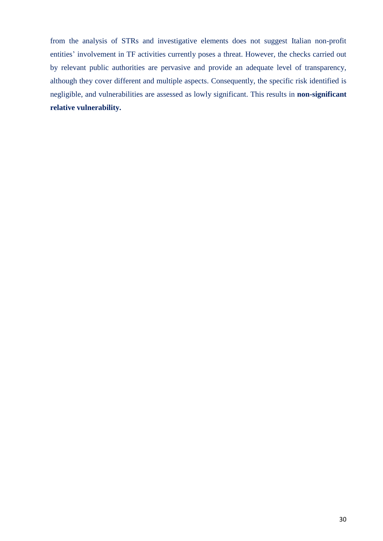from the analysis of STRs and investigative elements does not suggest Italian non-profit entities' involvement in TF activities currently poses a threat. However, the checks carried out by relevant public authorities are pervasive and provide an adequate level of transparency, although they cover different and multiple aspects. Consequently, the specific risk identified is negligible, and vulnerabilities are assessed as lowly significant. This results in **non-significant relative vulnerability.**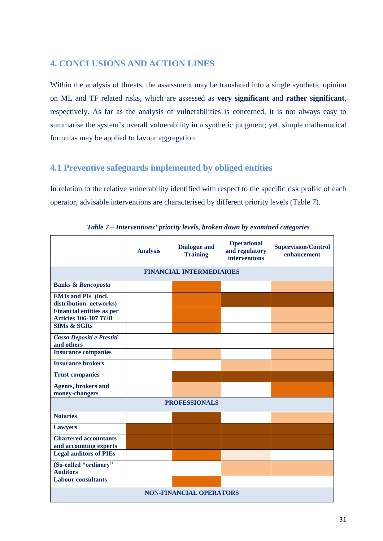## **4. CONCLUSIONS AND ACTION LINES**

Within the analysis of threats, the assessment may be translated into a single synthetic opinion on ML and TF related risks, which are assessed as **very significant** and **rather significant**, respectively. As far as the analysis of vulnerabilities is concerned, it is not always easy to summarise the system's overall vulnerability in a synthetic judgment; yet, simple mathematical formulas may be applied to favour aggregation.

## **4.1 Preventive safeguards implemented by obliged entities**

In relation to the relative vulnerability identified with respect to the specific risk profile of each operator, advisable interventions are characterised by different priority levels (Table 7).

|                                                                 | <b>Analysis</b> | <b>Dialogue and</b><br><b>Training</b> | <b>Operational</b><br>and regulatory<br><b>interventions</b> | <b>Supervision/Control</b><br>enhancement |
|-----------------------------------------------------------------|-----------------|----------------------------------------|--------------------------------------------------------------|-------------------------------------------|
|                                                                 |                 | <b>FINANCIAL INTERMEDIARIES</b>        |                                                              |                                           |
| <b>Banks &amp; Bancoposta</b>                                   |                 |                                        |                                                              |                                           |
| <b>EMIs and PIs (incl.</b><br>distribution networks)            |                 |                                        |                                                              |                                           |
| <b>Financial entities as per</b><br><b>Articles 106-107 TUB</b> |                 |                                        |                                                              |                                           |
| <b>SIMs &amp; SGRs</b>                                          |                 |                                        |                                                              |                                           |
| Cassa Depositi e Prestiti<br>and others                         |                 |                                        |                                                              |                                           |
| <b>Insurance companies</b>                                      |                 |                                        |                                                              |                                           |
| <b>Insurance brokers</b>                                        |                 |                                        |                                                              |                                           |
| <b>Trust companies</b>                                          |                 |                                        |                                                              |                                           |
| <b>Agents</b> , brokers and<br>money-changers                   |                 |                                        |                                                              |                                           |
|                                                                 |                 | <b>PROFESSIONALS</b>                   |                                                              |                                           |
| <b>Notaries</b>                                                 |                 |                                        |                                                              |                                           |
| <b>Lawyers</b>                                                  |                 |                                        |                                                              |                                           |
| <b>Chartered accountants</b><br>and accounting experts          |                 |                                        |                                                              |                                           |
| <b>Legal auditors of PIEs</b>                                   |                 |                                        |                                                              |                                           |
| (So-called "ordinary"<br><b>Auditors</b>                        |                 |                                        |                                                              |                                           |
| <b>Labour consultants</b>                                       |                 |                                        |                                                              |                                           |
| <b>NON-FINANCIAL OPERATORS</b>                                  |                 |                                        |                                                              |                                           |

*Table 7 – Interventions' priority levels, broken down by examined categories*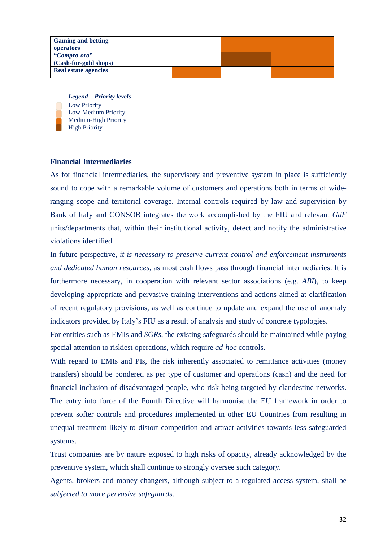| <b>Gaming and betting</b><br>operators               |  |  |
|------------------------------------------------------|--|--|
| "Compro-oro"                                         |  |  |
| (Cash-for-gold shops)<br><b>Real estate agencies</b> |  |  |
|                                                      |  |  |

*Legend – Priority levels* Low Priority Low-Medium Priority Medium-High Priority High Priority

#### **Financial Intermediaries**

As for financial intermediaries, the supervisory and preventive system in place is sufficiently sound to cope with a remarkable volume of customers and operations both in terms of wideranging scope and territorial coverage. Internal controls required by law and supervision by Bank of Italy and CONSOB integrates the work accomplished by the FIU and relevant *GdF* units/departments that, within their institutional activity, detect and notify the administrative violations identified.

In future perspective, *it is necessary to preserve current control and enforcement instruments and dedicated human resources,* as most cash flows pass through financial intermediaries. It is furthermore necessary, in cooperation with relevant sector associations (e.g. *ABI*), to keep developing appropriate and pervasive training interventions and actions aimed at clarification of recent regulatory provisions, as well as continue to update and expand the use of anomaly indicators provided by Italy's FIU as a result of analysis and study of concrete typologies.

For entities such as EMIs and *SGRs*, the existing safeguards should be maintained while paying special attention to riskiest operations, which require *ad-hoc* controls.

With regard to EMIs and PIs, the risk inherently associated to remittance activities (money transfers) should be pondered as per type of customer and operations (cash) and the need for financial inclusion of disadvantaged people, who risk being targeted by clandestine networks. The entry into force of the Fourth Directive will harmonise the EU framework in order to prevent softer controls and procedures implemented in other EU Countries from resulting in unequal treatment likely to distort competition and attract activities towards less safeguarded systems.

Trust companies are by nature exposed to high risks of opacity, already acknowledged by the preventive system, which shall continue to strongly oversee such category.

Agents, brokers and money changers, although subject to a regulated access system, shall be *subjected to more pervasive safeguards*.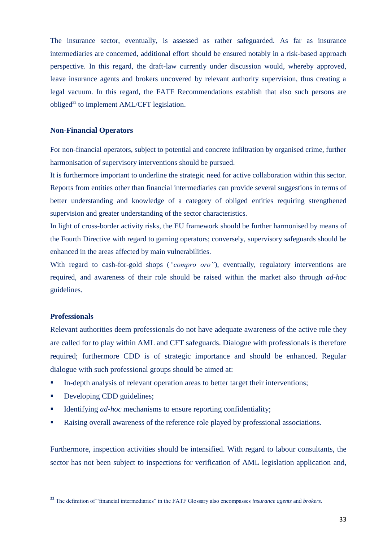The insurance sector, eventually, is assessed as rather safeguarded. As far as insurance intermediaries are concerned, additional effort should be ensured notably in a risk-based approach perspective. In this regard, the draft-law currently under discussion would, whereby approved, leave insurance agents and brokers uncovered by relevant authority supervision, thus creating a legal vacuum. In this regard, the FATF Recommendations establish that also such persons are obliged<sup>22</sup> to implement AML/CFT legislation.

#### **Non-Financial Operators**

For non-financial operators, subject to potential and concrete infiltration by organised crime, further harmonisation of supervisory interventions should be pursued.

It is furthermore important to underline the strategic need for active collaboration within this sector. Reports from entities other than financial intermediaries can provide several suggestions in terms of better understanding and knowledge of a category of obliged entities requiring strengthened supervision and greater understanding of the sector characteristics.

In light of cross-border activity risks, the EU framework should be further harmonised by means of the Fourth Directive with regard to gaming operators; conversely, supervisory safeguards should be enhanced in the areas affected by main vulnerabilities.

With regard to cash-for-gold shops (*"compro oro"*), eventually, regulatory interventions are required, and awareness of their role should be raised within the market also through *ad-hoc* guidelines.

#### **Professionals**

**.** 

Relevant authorities deem professionals do not have adequate awareness of the active role they are called for to play within AML and CFT safeguards. Dialogue with professionals is therefore required; furthermore CDD is of strategic importance and should be enhanced. Regular dialogue with such professional groups should be aimed at:

- In-depth analysis of relevant operation areas to better target their interventions;
- Developing CDD guidelines;
- Identifying *ad-hoc* mechanisms to ensure reporting confidentiality;
- Raising overall awareness of the reference role played by professional associations.

Furthermore, inspection activities should be intensified. With regard to labour consultants, the sector has not been subject to inspections for verification of AML legislation application and,

**<sup>22</sup>** The definition of "financial intermediaries" in the FATF Glossary also encompasses *insurance agents* and *brokers*.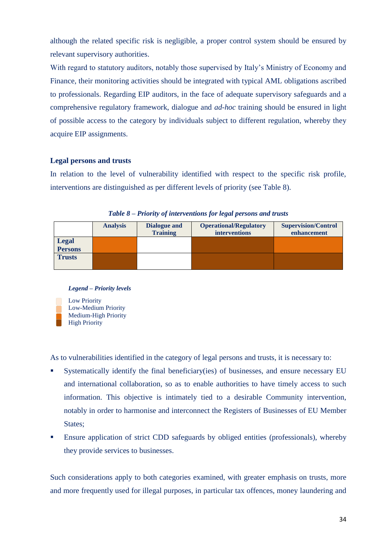although the related specific risk is negligible, a proper control system should be ensured by relevant supervisory authorities.

With regard to statutory auditors, notably those supervised by Italy's Ministry of Economy and Finance, their monitoring activities should be integrated with typical AML obligations ascribed to professionals. Regarding EIP auditors, in the face of adequate supervisory safeguards and a comprehensive regulatory framework, dialogue and *ad-hoc* training should be ensured in light of possible access to the category by individuals subject to different regulation, whereby they acquire EIP assignments.

#### **Legal persons and trusts**

In relation to the level of vulnerability identified with respect to the specific risk profile, interventions are distinguished as per different levels of priority (see Table 8).

|                          | <b>Analysis</b> | Dialogue and<br><b>Training</b> | <b>Operational/Regulatory</b><br>interventions | <b>Supervision/Control</b><br>enhancement |
|--------------------------|-----------------|---------------------------------|------------------------------------------------|-------------------------------------------|
| <b>Legal<br/>Persons</b> |                 |                                 |                                                |                                           |
|                          |                 |                                 |                                                |                                           |
| <b>Trusts</b>            |                 |                                 |                                                |                                           |
|                          |                 |                                 |                                                |                                           |

*Table 8 – Priority of interventions for legal persons and trusts*

#### *Legend – Priority levels*



As to vulnerabilities identified in the category of legal persons and trusts, it is necessary to:

- Systematically identify the final beneficiary(ies) of businesses, and ensure necessary EU and international collaboration, so as to enable authorities to have timely access to such information. This objective is intimately tied to a desirable Community intervention, notably in order to harmonise and interconnect the Registers of Businesses of EU Member States:
- Ensure application of strict CDD safeguards by obliged entities (professionals), whereby they provide services to businesses.

Such considerations apply to both categories examined, with greater emphasis on trusts, more and more frequently used for illegal purposes, in particular tax offences, money laundering and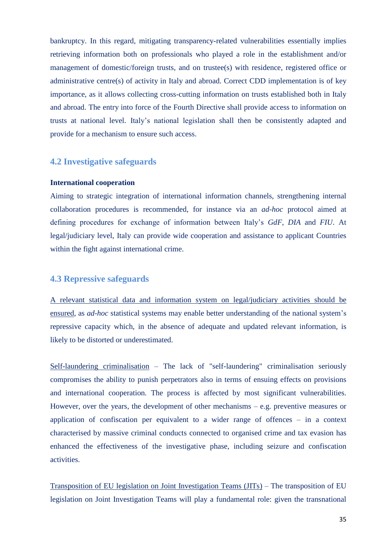bankruptcy. In this regard, mitigating transparency-related vulnerabilities essentially implies retrieving information both on professionals who played a role in the establishment and/or management of domestic/foreign trusts, and on trustee(s) with residence, registered office or administrative centre(s) of activity in Italy and abroad. Correct CDD implementation is of key importance, as it allows collecting cross-cutting information on trusts established both in Italy and abroad. The entry into force of the Fourth Directive shall provide access to information on trusts at national level. Italy's national legislation shall then be consistently adapted and provide for a mechanism to ensure such access.

#### **4.2 Investigative safeguards**

#### **International cooperation**

Aiming to strategic integration of international information channels, strengthening internal collaboration procedures is recommended, for instance via an *ad-hoc* protocol aimed at defining procedures for exchange of information between Italy's *GdF*, *DIA* and *FIU*. At legal/judiciary level, Italy can provide wide cooperation and assistance to applicant Countries within the fight against international crime.

#### **4.3 Repressive safeguards**

A relevant statistical data and information system on legal/judiciary activities should be ensured, as *ad-hoc* statistical systems may enable better understanding of the national system's repressive capacity which, in the absence of adequate and updated relevant information, is likely to be distorted or underestimated.

Self-laundering criminalisation – The lack of "self-laundering" criminalisation seriously compromises the ability to punish perpetrators also in terms of ensuing effects on provisions and international cooperation*.* The process is affected by most significant vulnerabilities. However, over the years, the development of other mechanisms – e.g. preventive measures or application of confiscation per equivalent to a wider range of offences – in a context characterised by massive criminal conducts connected to organised crime and tax evasion has enhanced the effectiveness of the investigative phase, including seizure and confiscation activities.

Transposition of EU legislation on Joint Investigation Teams (JITs) – The transposition of EU legislation on Joint Investigation Teams will play a fundamental role: given the transnational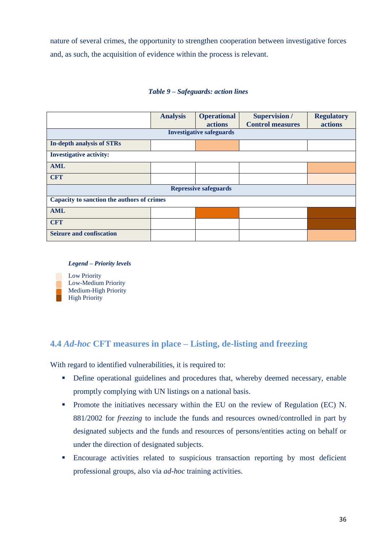nature of several crimes, the opportunity to strengthen cooperation between investigative forces and, as such, the acquisition of evidence within the process is relevant.

#### *Table 9 – Safeguards: action lines*

|                                            | <b>Analysis</b> | <b>Operational</b><br><b>actions</b> | <b>Supervision</b> /<br><b>Control measures</b> | <b>Regulatory</b><br>actions |  |  |  |
|--------------------------------------------|-----------------|--------------------------------------|-------------------------------------------------|------------------------------|--|--|--|
| <b>Investigative safeguards</b>            |                 |                                      |                                                 |                              |  |  |  |
| <b>In-depth analysis of STRs</b>           |                 |                                      |                                                 |                              |  |  |  |
| <b>Investigative activity:</b>             |                 |                                      |                                                 |                              |  |  |  |
| <b>AML</b>                                 |                 |                                      |                                                 |                              |  |  |  |
| <b>CFT</b>                                 |                 |                                      |                                                 |                              |  |  |  |
| <b>Repressive safeguards</b>               |                 |                                      |                                                 |                              |  |  |  |
| Capacity to sanction the authors of crimes |                 |                                      |                                                 |                              |  |  |  |
| <b>AML</b>                                 |                 |                                      |                                                 |                              |  |  |  |
| <b>CFT</b>                                 |                 |                                      |                                                 |                              |  |  |  |
| <b>Seizure and confiscation</b>            |                 |                                      |                                                 |                              |  |  |  |

#### *Legend – Priority levels*



## **4.4** *Ad-hoc* **CFT measures in place – Listing, de-listing and freezing**

With regard to identified vulnerabilities, it is required to:

- Define operational guidelines and procedures that, whereby deemed necessary, enable promptly complying with UN listings on a national basis.
- **Promote the initiatives necessary within the EU on the review of Regulation (EC) N.** 881/2002 for *freezing* to include the funds and resources owned/controlled in part by designated subjects and the funds and resources of persons/entities acting on behalf or under the direction of designated subjects.
- Encourage activities related to suspicious transaction reporting by most deficient professional groups, also via *ad-hoc* training activities.